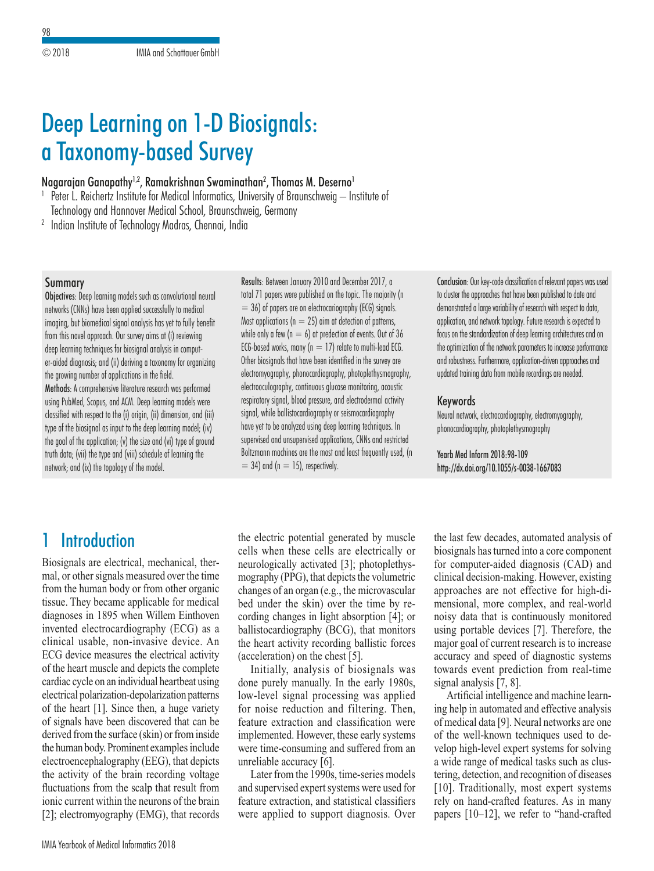# Deep Learning on 1-D Biosignals: a Taxonomy-based Survey

#### Nagarajan Ganapathy<sup>1,2</sup>, Ramakrishnan Swaminathan<sup>2</sup>, Thomas M. Deserno<sup>1</sup>

<sup>1</sup> Peter L. Reichertz Institute for Medical Informatics, University of Braunschweig – Institute of

Technology and Hannover Medical School, Braunschweig, Germany

<sup>2</sup> Indian Institute of Technology Madras, Chennai, India

#### Summary

Objectives: Deep learning models such as convolutional neural networks (CNNs) have been applied successfully to medical imaging, but biomedical signal analysis has yet to fully benefit from this novel approach. Our survey aims at (i) reviewing deep learning techniques for biosignal analysis in computer-aided diagnosis; and (ii) deriving a taxonomy for organizing the growing number of applications in the field. Methods: A comprehensive literature research was performed using PubMed, Scopus, and ACM. Deep learning models were classified with respect to the (i) origin, (ii) dimension, and (iii) type of the biosignal as input to the deep learning model; (iv) the goal of the application; (v) the size and (vi) type of ground

truth data; (vii) the type and (viii) schedule of learning the

network; and (ix) the topology of the model.

Results: Between January 2010 and December 2017, a total 71 papers were published on the topic. The majority (n  $= 36$ ) of papers are on electrocariography (ECG) signals. Most applications ( $n = 25$ ) aim at detection of patterns, while only a few ( $n = 6$ ) at predection of events. Out of 36 ECG-based works, many ( $n = 17$ ) relate to multi-lead ECG. Other biosignals that have been identified in the survey are electromyography, phonocardiography, photoplethysmography, electrooculography, continuous glucose monitoring, acoustic respiratory signal, blood pressure, and electrodermal activity signal, while ballistocardiography or seismocardiography have yet to be analyzed using deep learning techniques. In supervised and unsupervised applications, CNNs and restricted Boltzmann machines are the most and least frequently used, (n  $= 34$ ) and (n  $= 15$ ), respectively.

Conclusion: Our key-code classification of relevant papers was used to cluster the approaches that have been published to date and demonstrated a large variability of research with respect to data, application, and network topology. Future research is expected to focus on the standardization of deep learning architectures and on the optimization of the network parameters to increase performance and robustness. Furthermore, application-driven approaches and updated training data from mobile recordings are needed.

#### Keywords

Neural network, electrocardiography, electromyography, phonocardiography, photoplethysmography

Yearb Med Inform 2018:98-109 http://dx.doi.org/10.1055/s-0038-1667083

## 1 Introduction

Biosignals are electrical, mechanical, thermal, or other signals measured over the time from the human body or from other organic tissue. They became applicable for medical diagnoses in 1895 when Willem Einthoven invented electrocardiography (ECG) as a clinical usable, non-invasive device. An ECG device measures the electrical activity of the heart muscle and depicts the complete cardiac cycle on an individual heartbeat using electrical polarization-depolarization patterns of the heart [1]. Since then, a huge variety of signals have been discovered that can be derived from the surface (skin) or from inside the human body. Prominent examples include electroencephalography (EEG), that depicts the activity of the brain recording voltage fluctuations from the scalp that result from ionic current within the neurons of the brain [2]; electromyography (EMG), that records

the electric potential generated by muscle cells when these cells are electrically or neurologically activated [3]; photoplethysmography (PPG), that depicts the volumetric changes of an organ (e.g., the microvascular bed under the skin) over the time by recording changes in light absorption [4]; or ballistocardiography (BCG), that monitors the heart activity recording ballistic forces (acceleration) on the chest [5].

Initially, analysis of biosignals was done purely manually. In the early 1980s, low-level signal processing was applied for noise reduction and filtering. Then, feature extraction and classification were implemented. However, these early systems were time-consuming and suffered from an unreliable accuracy [6].

Later from the 1990s, time-series models and supervised expert systems were used for feature extraction, and statistical classifiers were applied to support diagnosis. Over the last few decades, automated analysis of biosignals has turned into a core component for computer-aided diagnosis (CAD) and clinical decision-making. However, existing approaches are not effective for high-dimensional, more complex, and real-world noisy data that is continuously monitored using portable devices [7]. Therefore, the major goal of current research is to increase accuracy and speed of diagnostic systems towards event prediction from real-time signal analysis [7, 8].

Artificial intelligence and machine learning help in automated and effective analysis of medical data [9]. Neural networks are one of the well-known techniques used to develop high-level expert systems for solving a wide range of medical tasks such as clustering, detection, and recognition of diseases [10]. Traditionally, most expert systems rely on hand-crafted features. As in many papers [10–12], we refer to "hand-crafted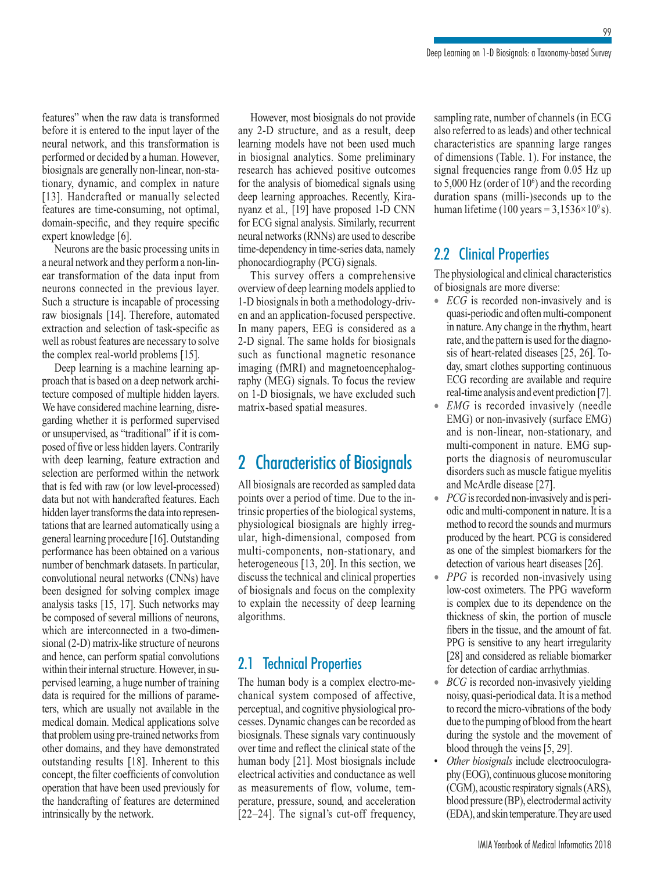features" when the raw data is transformed before it is entered to the input layer of the neural network, and this transformation is performed or decided by a human. However, biosignals are generally non-linear, non-stationary, dynamic, and complex in nature [13]. Handcrafted or manually selected features are time-consuming, not optimal, domain-specific, and they require specific expert knowledge [6].

Neurons are the basic processing units in a neural network and they perform a non-linear transformation of the data input from neurons connected in the previous layer. Such a structure is incapable of processing raw biosignals [14]. Therefore, automated extraction and selection of task-specific as well as robust features are necessary to solve the complex real-world problems [15].

Deep learning is a machine learning approach that is based on a deep network architecture composed of multiple hidden layers. We have considered machine learning, disregarding whether it is performed supervised or unsupervised, as "traditional" if it is composed of five or less hidden layers. Contrarily with deep learning, feature extraction and selection are performed within the network that is fed with raw (or low level-processed) data but not with handcrafted features. Each hidden layer transforms the data into representations that are learned automatically using a general learning procedure [16]. Outstanding performance has been obtained on a various number of benchmark datasets. In particular, convolutional neural networks (CNNs) have been designed for solving complex image analysis tasks [15, 17]. Such networks may be composed of several millions of neurons, which are interconnected in a two-dimensional (2-D) matrix-like structure of neurons and hence, can perform spatial convolutions within their internal structure. However, in supervised learning, a huge number of training data is required for the millions of parameters, which are usually not available in the medical domain. Medical applications solve that problem using pre-trained networks from other domains, and they have demonstrated outstanding results [18]. Inherent to this concept, the filter coefficients of convolution operation that have been used previously for the handcrafting of features are determined intrinsically by the network.

However, most biosignals do not provide any 2-D structure, and as a result, deep learning models have not been used much in biosignal analytics. Some preliminary research has achieved positive outcomes for the analysis of biomedical signals using deep learning approaches. Recently, Kiranyanz et al*.,* [19] have proposed 1-D CNN for ECG signal analysis. Similarly, recurrent neural networks (RNNs) are used to describe time-dependency in time-series data, namely phonocardiography (PCG) signals.

This survey offers a comprehensive overview of deep learning models applied to 1-D biosignals in both a methodology-driven and an application-focused perspective. In many papers, EEG is considered as a 2-D signal. The same holds for biosignals such as functional magnetic resonance imaging (fMRI) and magnetoencephalography (MEG) signals. To focus the review on 1-D biosignals, we have excluded such matrix-based spatial measures.

## 2 Characteristics of Biosignals

All biosignals are recorded as sampled data points over a period of time. Due to the intrinsic properties of the biological systems, physiological biosignals are highly irregular, high-dimensional, composed from multi-components, non-stationary, and heterogeneous [13, 20]. In this section, we discuss the technical and clinical properties of biosignals and focus on the complexity to explain the necessity of deep learning algorithms.

### 2.1 Technical Properties

The human body is a complex electro-mechanical system composed of affective, perceptual, and cognitive physiological processes. Dynamic changes can be recorded as biosignals. These signals vary continuously over time and reflect the clinical state of the human body [21]. Most biosignals include electrical activities and conductance as well as measurements of flow, volume, temperature, pressure, sound, and acceleration [22–24]. The signal's cut-off frequency, sampling rate, number of channels (in ECG also referred to as leads) and other technical characteristics are spanning large ranges of dimensions (Table. 1). For instance, the signal frequencies range from 0.05 Hz up to 5,000 Hz (order of  $10<sup>6</sup>$ ) and the recording duration spans (milli-)seconds up to the human lifetime (100 years =  $3,1536 \times 10^9$  s).

### 2.2 Clinical Properties

The physiological and clinical characteristics of biosignals are more diverse:

- *ECG* is recorded non-invasively and is quasi-periodic and often multi-component in nature. Any change in the rhythm, heart rate, and the pattern is used for the diagnosis of heart-related diseases [25, 26]. Today, smart clothes supporting continuous ECG recording are available and require real-time analysis and event prediction [7].
- *EMG* is recorded invasively (needle EMG) or non-invasively (surface EMG) and is non-linear, non-stationary, and multi-component in nature. EMG supports the diagnosis of neuromuscular disorders such as muscle fatigue myelitis and McArdle disease [27].
- *PCG* is recorded non-invasively and is periodic and multi-component in nature. It is a method to record the sounds and murmurs produced by the heart. PCG is considered as one of the simplest biomarkers for the detection of various heart diseases [26].
- *PPG* is recorded non-invasively using low-cost oximeters. The PPG waveform is complex due to its dependence on the thickness of skin, the portion of muscle fibers in the tissue, and the amount of fat. PPG is sensitive to any heart irregularity [28] and considered as reliable biomarker for detection of cardiac arrhythmias.
- *BCG* is recorded non-invasively yielding noisy, quasi-periodical data. It is a method to record the micro-vibrations of the body due to the pumping of blood from the heart during the systole and the movement of blood through the veins [5, 29].
- *Other biosignals* include electrooculography (EOG), continuous glucose monitoring (CGM), acoustic respiratory signals (ARS), blood pressure (BP), electrodermal activity (EDA), and skin temperature. They are used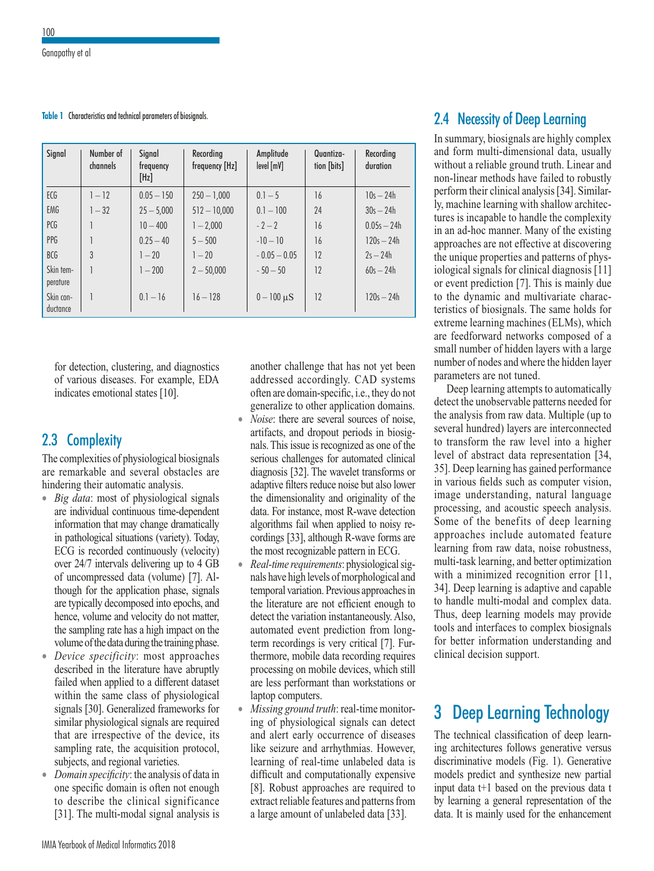**Table 1** Characteristics and technical parameters of biosignals.

| Signal                | Number of<br>channels | Signal<br>frequency<br>[Hz] | Recording<br>frequency [Hz] | Amplitude<br>level [mV] | Quantiza-<br>tion [bits] | Recording<br>duration |  |  |  |
|-----------------------|-----------------------|-----------------------------|-----------------------------|-------------------------|--------------------------|-----------------------|--|--|--|
| ECG                   | $1 - 12$              | $0.05 - 150$                | $250 - 1,000$               | $0.1 - 5$               | 16                       | $10s - 24h$           |  |  |  |
| EMG                   | $1 - 32$              | $25 - 5,000$                | $512 - 10,000$              | $0.1 - 100$             | 24                       | $30s - 24h$           |  |  |  |
| PCG                   |                       | $10 - 400$                  | $1 - 2.000$                 | $-2-2$                  | 16                       | $0.05s - 24h$         |  |  |  |
| PPG                   |                       | $0.25 - 40$                 | $5 - 500$                   | $-10-10$                | 16                       | $120s - 24h$          |  |  |  |
| BCG                   | 3                     | $1 - 20$                    | $1 - 20$                    | $-0.05 - 0.05$          | 12                       | $2s - 24h$            |  |  |  |
| Skin tem-<br>perature |                       | $1 - 200$                   | $2 - 50,000$                | $-50-50$                | 12                       | $60s - 24h$           |  |  |  |
| Skin con-<br>ductance |                       | $0.1 - 16$                  | $16 - 128$                  | $0 - 100 \mu S$         | 12                       | $120s - 24h$          |  |  |  |

for detection, clustering, and diagnostics of various diseases. For example, EDA indicates emotional states [10].

### 2.3 Complexity

The complexities of physiological biosignals are remarkable and several obstacles are hindering their automatic analysis.

- *Big data*: most of physiological signals are individual continuous time-dependent information that may change dramatically in pathological situations (variety). Today, ECG is recorded continuously (velocity) over 24/7 intervals delivering up to 4 GB of uncompressed data (volume) [7]. Although for the application phase, signals are typically decomposed into epochs, and hence, volume and velocity do not matter, the sampling rate has a high impact on the volume of the data during the training phase.
- *Device specificity*: most approaches described in the literature have abruptly failed when applied to a different dataset within the same class of physiological signals [30]. Generalized frameworks for similar physiological signals are required that are irrespective of the device, its sampling rate, the acquisition protocol, subjects, and regional varieties.
- *Domain specificity*: the analysis of data in one specific domain is often not enough to describe the clinical significance [31]. The multi-modal signal analysis is

another challenge that has not yet been addressed accordingly. CAD systems often are domain-specific, i.e., they do not generalize to other application domains.

- *Noise*: there are several sources of noise, artifacts, and dropout periods in biosignals. This issue is recognized as one of the serious challenges for automated clinical diagnosis [32]. The wavelet transforms or adaptive filters reduce noise but also lower the dimensionality and originality of the data. For instance, most R-wave detection algorithms fail when applied to noisy recordings [33], although R-wave forms are the most recognizable pattern in ECG.
- *Real-time requirements*: physiological signals have high levels of morphological and temporal variation. Previous approaches in the literature are not efficient enough to detect the variation instantaneously. Also, automated event prediction from longterm recordings is very critical [7]. Furthermore, mobile data recording requires processing on mobile devices, which still are less performant than workstations or laptop computers.
- *Missing ground truth*: real-time monitoring of physiological signals can detect and alert early occurrence of diseases like seizure and arrhythmias. However, learning of real-time unlabeled data is difficult and computationally expensive [8]. Robust approaches are required to extract reliable features and patterns from a large amount of unlabeled data [33].

### 2.4 Necessity of Deep Learning

In summary, biosignals are highly complex and form multi-dimensional data, usually without a reliable ground truth. Linear and non-linear methods have failed to robustly perform their clinical analysis [34]. Similarly, machine learning with shallow architectures is incapable to handle the complexity in an ad-hoc manner. Many of the existing approaches are not effective at discovering the unique properties and patterns of physiological signals for clinical diagnosis [11] or event prediction [7]. This is mainly due to the dynamic and multivariate characteristics of biosignals. The same holds for extreme learning machines (ELMs), which are feedforward networks composed of a small number of hidden layers with a large number of nodes and where the hidden layer parameters are not tuned.

Deep learning attempts to automatically detect the unobservable patterns needed for the analysis from raw data. Multiple (up to several hundred) layers are interconnected to transform the raw level into a higher level of abstract data representation [34, 35]. Deep learning has gained performance in various fields such as computer vision, image understanding, natural language processing, and acoustic speech analysis. Some of the benefits of deep learning approaches include automated feature learning from raw data, noise robustness, multi-task learning, and better optimization with a minimized recognition error [11, 34]. Deep learning is adaptive and capable to handle multi-modal and complex data. Thus, deep learning models may provide tools and interfaces to complex biosignals for better information understanding and clinical decision support.

## **Deep Learning Technology**

The technical classification of deep learning architectures follows generative versus discriminative models (Fig. 1). Generative models predict and synthesize new partial input data t+1 based on the previous data t by learning a general representation of the data. It is mainly used for the enhancement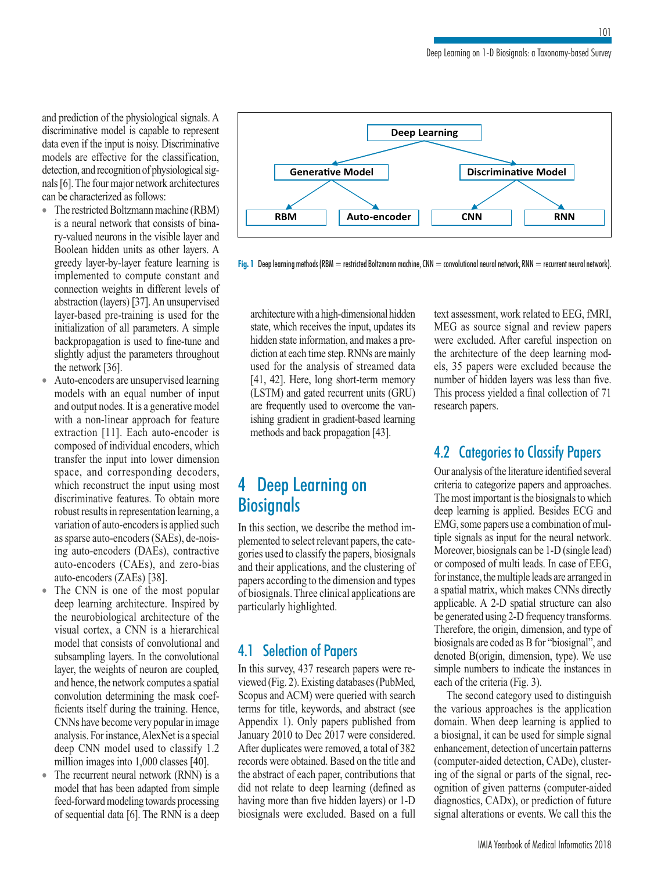and prediction of the physiological signals. A discriminative model is capable to represent data even if the input is noisy. Discriminative models are effective for the classification, detection, and recognition of physiological signals [6]. The four major network architectures can be characterized as follows:

- The restricted Boltzmann machine (RBM) is a neural network that consists of binary-valued neurons in the visible layer and Boolean hidden units as other layers. A greedy layer-by-layer feature learning is implemented to compute constant and connection weights in different levels of abstraction (layers) [37]. An unsupervised layer-based pre-training is used for the initialization of all parameters. A simple backpropagation is used to fine-tune and slightly adjust the parameters throughout the network [36].
- Auto-encoders are unsupervised learning models with an equal number of input and output nodes. It is a generative model with a non-linear approach for feature extraction [11]. Each auto-encoder is composed of individual encoders, which transfer the input into lower dimension space, and corresponding decoders, which reconstruct the input using most discriminative features. To obtain more robust results in representation learning, a variation of auto-encoders is applied such as sparse auto-encoders (SAEs), de-noising auto-encoders (DAEs), contractive auto-encoders (CAEs), and zero-bias auto-encoders (ZAEs) [38].
- The CNN is one of the most popular deep learning architecture. Inspired by the neurobiological architecture of the visual cortex, a CNN is a hierarchical model that consists of convolutional and subsampling layers. In the convolutional layer, the weights of neuron are coupled, and hence, the network computes a spatial convolution determining the mask coefficients itself during the training. Hence, CNNs have become very popular in image analysis. For instance, AlexNet is a special deep CNN model used to classify 1.2 million images into 1,000 classes [40].
- The recurrent neural network (RNN) is a model that has been adapted from simple feed-forward modeling towards processing of sequential data [6]. The RNN is a deep



**Fig. 1** Deep learning methods (RBM = restricted Boltzmann machine, CNN = convolutional neural network, RNN = recurrent neural network).

architecture with a high-dimensional hidden state, which receives the input, updates its hidden state information, and makes a prediction at each time step. RNNs are mainly used for the analysis of streamed data [41, 42]. Here, long short-term memory (LSTM) and gated recurrent units (GRU) are frequently used to overcome the vanishing gradient in gradient-based learning methods and back propagation [43].

## 4 Deep Learning on **Biosignals**

In this section, we describe the method implemented to select relevant papers, the categories used to classify the papers, biosignals and their applications, and the clustering of papers according to the dimension and types of biosignals. Three clinical applications are particularly highlighted.

### 4.1 Selection of Papers

In this survey, 437 research papers were reviewed (Fig. 2). Existing databases (PubMed, Scopus and ACM) were queried with search terms for title, keywords, and abstract (see Appendix 1). Only papers published from January 2010 to Dec 2017 were considered. After duplicates were removed, a total of 382 records were obtained. Based on the title and the abstract of each paper, contributions that did not relate to deep learning (defined as having more than five hidden layers) or 1-D biosignals were excluded. Based on a full text assessment, work related to EEG, fMRI, MEG as source signal and review papers were excluded. After careful inspection on the architecture of the deep learning models, 35 papers were excluded because the number of hidden layers was less than five. This process yielded a final collection of 71 research papers.

### 4.2 Categories to Classify Papers

Our analysis of the literature identified several criteria to categorize papers and approaches. The most important is the biosignals to which deep learning is applied. Besides ECG and EMG, some papers use a combination of multiple signals as input for the neural network. Moreover, biosignals can be 1-D (single lead) or composed of multi leads. In case of EEG, for instance, the multiple leads are arranged in a spatial matrix, which makes CNNs directly applicable. A 2-D spatial structure can also be generated using 2-D frequency transforms. Therefore, the origin, dimension, and type of biosignals are coded as B for "biosignal", and denoted B(origin, dimension, type). We use simple numbers to indicate the instances in each of the criteria (Fig. 3).

The second category used to distinguish the various approaches is the application domain. When deep learning is applied to a biosignal, it can be used for simple signal enhancement, detection of uncertain patterns (computer-aided detection, CADe), clustering of the signal or parts of the signal, recognition of given patterns (computer-aided diagnostics, CADx), or prediction of future signal alterations or events. We call this the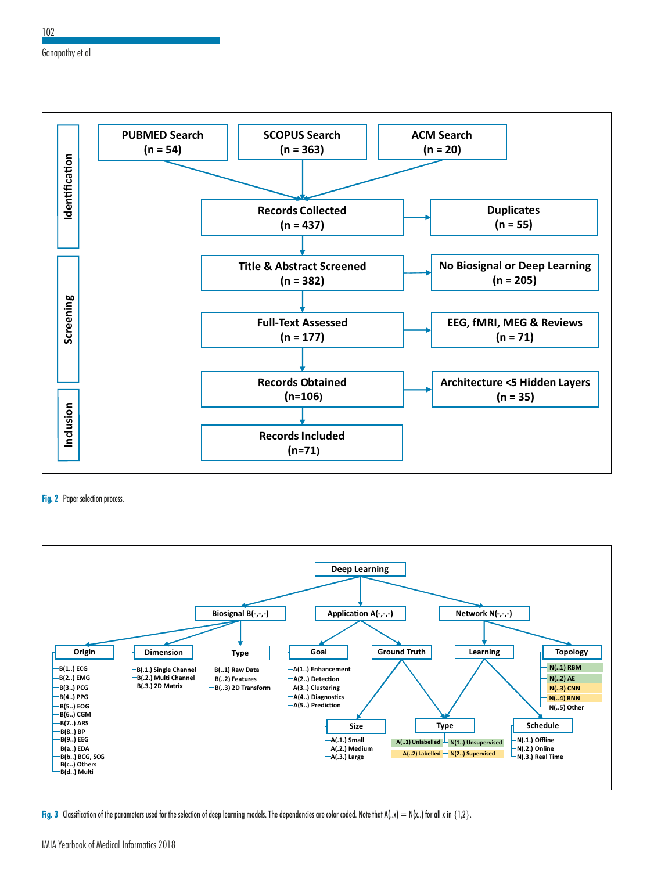

**Fig. 2** Paper selection process.



**Fig. 3** Classification of the parameters used for the selection of deep learning models. The dependencies are color coded. Note that A(..x)  $= N(x.)$  for all x in {1,2}.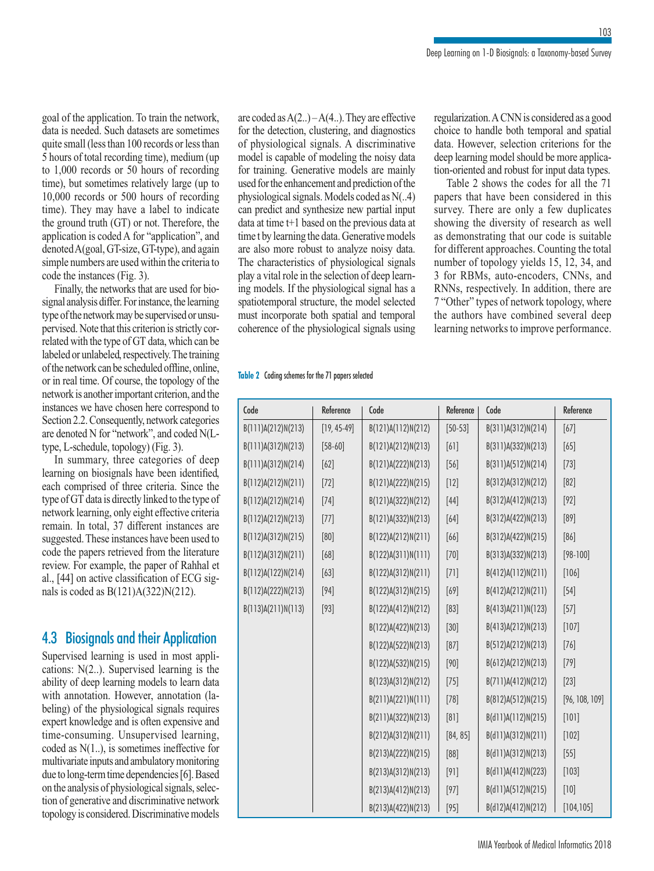goal of the application. To train the network, data is needed. Such datasets are sometimes quite small (less than 100 records or less than 5 hours of total recording time), medium (up to 1,000 records or 50 hours of recording time), but sometimes relatively large (up to 10,000 records or 500 hours of recording time). They may have a label to indicate the ground truth (GT) or not. Therefore, the application is coded A for "application", and denoted A(goal, GT-size, GT-type), and again simple numbers are used within the criteria to code the instances (Fig. 3).

Finally, the networks that are used for biosignal analysis differ. For instance, the learning type of the network may be supervised or unsupervised. Note that this criterion is strictly correlated with the type of GT data, which can be labeled or unlabeled, respectively. The training of the network can be scheduled offline, online, or in real time. Of course, the topology of the network is another important criterion, and the instances we have chosen here correspond to Section 2.2. Consequently, network categories are denoted N for "network", and coded N(Ltype, L-schedule, topology) (Fig. 3).

In summary, three categories of deep learning on biosignals have been identified, each comprised of three criteria. Since the type of GT data is directly linked to the type of network learning, only eight effective criteria remain. In total, 37 different instances are suggested. These instances have been used to code the papers retrieved from the literature review. For example, the paper of Rahhal et al., [44] on active classification of ECG signals is coded as B(121)A(322)N(212).

### 4.3 Biosignals and their Application

Supervised learning is used in most applications: N(2..). Supervised learning is the ability of deep learning models to learn data with annotation. However, annotation (labeling) of the physiological signals requires expert knowledge and is often expensive and time-consuming. Unsupervised learning, coded as N(1..), is sometimes ineffective for multivariate inputs and ambulatory monitoring due to long-term time dependencies [6]. Based on the analysis of physiological signals, selection of generative and discriminative network topology is considered. Discriminative models are coded as  $A(2...) - A(4...)$ . They are effective for the detection, clustering, and diagnostics of physiological signals. A discriminative model is capable of modeling the noisy data for training. Generative models are mainly used for the enhancement and prediction of the physiological signals. Models coded as N(..4) can predict and synthesize new partial input data at time t+1 based on the previous data at time t by learning the data. Generative models are also more robust to analyze noisy data. The characteristics of physiological signals play a vital role in the selection of deep learning models. If the physiological signal has a spatiotemporal structure, the model selected must incorporate both spatial and temporal coherence of the physiological signals using regularization. A CNN is considered as a good choice to handle both temporal and spatial data. However, selection criterions for the deep learning model should be more application-oriented and robust for input data types.

Table 2 shows the codes for all the 71 papers that have been considered in this survey. There are only a few duplicates showing the diversity of research as well as demonstrating that our code is suitable for different approaches. Counting the total number of topology yields 15, 12, 34, and 3 for RBMs, auto-encoders, CNNs, and RNNs, respectively. In addition, there are 7 "Other" types of network topology, where the authors have combined several deep learning networks to improve performance.

#### **Table 2** Coding schemes for the 71 papers selected

| Code               | Reference     | Code               | Reference   | Code               | Reference      |  |  |
|--------------------|---------------|--------------------|-------------|--------------------|----------------|--|--|
| B(111)A(212)N(213) | $[19, 45-49]$ | B(121)A(112)N(212) | $[50 - 53]$ | B(311)A(312)N(214) | $[67]$         |  |  |
| B(111)A(312)N(213) | $[58 - 60]$   | B(121)A(212)N(213) | [6]         | B(311)A(332)N(213) | [65]           |  |  |
| B(111)A(312)N(214) | [62]          | B(121)A(222)N(213) | $[56]$      | B(311)A(512)N(214) | $[73]$         |  |  |
| B(112)A(212)N(211) | $[72]$        | B(121)A(222)N(215) | $[12]$      | B(312)A(312)N(212) | [82]           |  |  |
| B(112)A(212)N(214) | $[74]$        | B(121)A(322)N(212) | $[44]$      | B(312)A(412)N(213) | $[92]$         |  |  |
| B(112)A(212)N(213) | $[77]$        | B(121)A(332)N(213) | [64]        | B(312)A(422)N(213) | [89]           |  |  |
| B(112)A(312)N(215) | [80]          | B(122)A(212)N(211) | [66]        | B(312)A(422)N(215) | [86]           |  |  |
| B(112)A(312)N(211) | $[68]$        | B(122)A(311)N(111) | $[70]$      | B(313)A(332)N(213) | $[98 - 100]$   |  |  |
| B(112)A(122)N(214) | $[63]$        | B(122)A(312)N(211) | $[71]$      | B(412)A(112)N(211) | $[106]$        |  |  |
| B(112)A(222)N(213) | $[94]$        | B(122)A(312)N(215) | [69]        | B(412)A(212)N(211) | $[54]$         |  |  |
| B(113)A(211)N(113) | $[93]$        | B(122)A(412)N(212) | [83]        | B(413)A(211)N(123) | $[57]$         |  |  |
|                    |               | B(122)A(422)N(213) | $[30]$      | B(413)A(212)N(213) | $[107]$        |  |  |
|                    |               | B(122)A(522)N(213) | [87]        | B(512)A(212)N(213) | $[76]$         |  |  |
|                    |               | B(122)A(532)N(215) | [90]        | B(612)A(212)N(213) | $[79]$         |  |  |
|                    |               | B(123)A(312)N(212) | $[75]$      | B(711)A(412)N(212) | $[23]$         |  |  |
|                    |               | B(211)A(221)N(111) | $[78]$      | B(812)A(512)N(215) | [96, 108, 109] |  |  |
|                    |               | B(211)A(322)N(213) | [8]         | B(d11)A(112)N(215) | $[101]$        |  |  |
|                    |               | B(212)A(312)N(211) | [84, 85]    | B(d11)A(312)N(211) | $[102]$        |  |  |
|                    |               | B(213)A(222)N(215) | [88]        | B(d11)A(312)N(213) | $[55]$         |  |  |
|                    |               | B(213)A(312)N(213) | [9]         | B(d11)A(412)N(223) | $[103]$        |  |  |
|                    |               | B(213)A(412)N(213) | [97]        | B(d11)A(512)N(215) | $[10]$         |  |  |
|                    |               | B(213)A(422)N(213) | $[95]$      | B(d12)A(412)N(212) | [104, 105]     |  |  |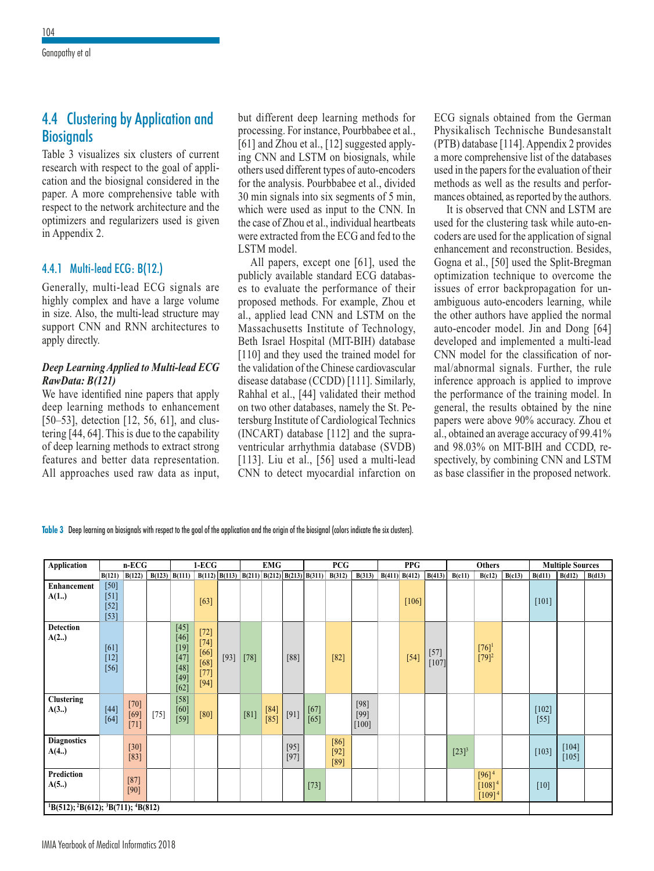## 4.4 Clustering by Application and **Biosignals**

Table 3 visualizes six clusters of current research with respect to the goal of application and the biosignal considered in the paper. A more comprehensive table with respect to the network architecture and the optimizers and regularizers used is given in Appendix 2.

#### 4.4.1 Multi-lead ECG: B(12.)

Generally, multi-lead ECG signals are highly complex and have a large volume in size. Also, the multi-lead structure may support CNN and RNN architectures to apply directly.

#### *Deep Learning Applied to Multi-lead ECG RawData: B(121)*

We have identified nine papers that apply deep learning methods to enhancement [50–53], detection [12, 56, 61], and clustering [44, 64]. This is due to the capability of deep learning methods to extract strong features and better data representation. All approaches used raw data as input,

but different deep learning methods for processing. For instance, Pourbbabee et al., [61] and Zhou et al., [12] suggested applying CNN and LSTM on biosignals, while others used different types of auto-encoders for the analysis. Pourbbabee et al., divided 30 min signals into six segments of 5 min, which were used as input to the CNN. In the case of Zhou et al., individual heartbeats were extracted from the ECG and fed to the LSTM model.

All papers, except one [61], used the publicly available standard ECG databases to evaluate the performance of their proposed methods. For example, Zhou et al., applied lead CNN and LSTM on the Massachusetts Institute of Technology, Beth Israel Hospital (MIT-BIH) database [110] and they used the trained model for the validation of the Chinese cardiovascular disease database (CCDD) [111]. Similarly, Rahhal et al., [44] validated their method on two other databases, namely the St. Petersburg Institute of Cardiological Technics (INCART) database [112] and the supraventricular arrhythmia database (SVDB) [113]. Liu et al., [56] used a multi-lead CNN to detect myocardial infarction on ECG signals obtained from the German Physikalisch Technische Bundesanstalt (PTB) database [114]. Appendix 2 provides a more comprehensive list of the databases used in the papers for the evaluation of their methods as well as the results and performances obtained, as reported by the authors.

It is observed that CNN and LSTM are used for the clustering task while auto-encoders are used for the application of signal enhancement and reconstruction. Besides, Gogna et al., [50] used the Split-Bregman optimization technique to overcome the issues of error backpropagation for unambiguous auto-encoders learning, while the other authors have applied the normal auto-encoder model. Jin and Dong [64] developed and implemented a multi-lead CNN model for the classification of normal/abnormal signals. Further, the rule inference approach is applied to improve the performance of the training model. In general, the results obtained by the nine papers were above 90% accuracy. Zhou et al., obtained an average accuracy of 99.41% and 98.03% on MIT-BIH and CCDD, respectively, by combining CNN and LSTM as base classifier in the proposed network.

**Table 3** Deep learning on biosignals with respect to the goal of the application and the origin of the biosignal (colors indicate the six clusters).

| Application                                              | $n$ -ECG                             |                            |        | $1-ECG$                                                                                    |                                                          |                                                       | <b>EMG</b> |                  |                  | <b>PCG</b>       |                          |                             | <b>PPG</b> |                   |                   | Others     |                                          |        | <b>Multiple Sources</b> |                  |        |
|----------------------------------------------------------|--------------------------------------|----------------------------|--------|--------------------------------------------------------------------------------------------|----------------------------------------------------------|-------------------------------------------------------|------------|------------------|------------------|------------------|--------------------------|-----------------------------|------------|-------------------|-------------------|------------|------------------------------------------|--------|-------------------------|------------------|--------|
|                                                          | B(121)                               | B(122)                     |        | $B(123)$ $B(111)$                                                                          |                                                          | $B(112)$ $B(113)$ $B(211)$ $B(212)$ $B(213)$ $B(311)$ |            |                  |                  |                  | B(312)                   | B(313)                      |            | $B(411)$ $B(412)$ | B(413)            | B(c11)     | B(c12)                                   | B(c13) | B(d11)                  | B(d12)           | B(d13) |
| Enhancement<br>A(1.)                                     | $[50]$<br>$[51]$<br>$[52]$<br>$[53]$ |                            |        |                                                                                            | [63]                                                     |                                                       |            |                  |                  |                  |                          |                             |            | $[106]$           |                   |            |                                          |        | [101]                   |                  |        |
| <b>Detection</b><br>A(2.)                                | [61]<br>$[12]$<br>$[56]$             |                            |        | $[45]$<br>$[46]$<br>$[19]$<br>$\begin{bmatrix} 47 \\ 48 \end{bmatrix}$<br>$[49]$<br>$[62]$ | $[72]$<br>$[74]$<br>$[66]$<br>$[68]$<br>$[77]$<br>$[94]$ | $[93]$                                                | $[78]$     |                  | $[88]$           |                  | $[82]$                   |                             |            | $[54]$            | $[57]$<br>$[107]$ |            | $[76]^{1}$<br>$[79]^2$                   |        |                         |                  |        |
| <b>Clustering</b><br>A(3.)                               | $[44]$<br>$[64]$                     | $[70]$<br>$[69]$<br>$[71]$ | $[75]$ | $[58]$<br>$[60]$<br>$[59]$                                                                 | [80]                                                     |                                                       | [81]       | $[84]$<br>$[85]$ | [91]             | $[67]$<br>$[65]$ |                          | $[98]$<br>$[99]$<br>$[100]$ |            |                   |                   |            |                                          |        | $[102]$<br>$[55]$       |                  |        |
| <b>Diagnostics</b><br>A(4.)                              |                                      | $[30]$<br>$[83]$           |        |                                                                                            |                                                          |                                                       |            |                  | $[95]$<br>$[97]$ |                  | [86]<br>$[92]$<br>$[89]$ |                             |            |                   |                   | $[23]^{3}$ |                                          |        | $[103]$                 | $[104]$<br>[105] |        |
| Prediction<br>A(5.)                                      |                                      | $[87]$<br>$[90]$           |        |                                                                                            |                                                          |                                                       |            |                  |                  | $[73]$           |                          |                             |            |                   |                   |            | $[96]^{4}$<br>$[108]^{4}$<br>$[109]^{4}$ |        | $[10]$                  |                  |        |
| ${}^{1}B(512); {}^{2}B(612); {}^{3}B(711); {}^{4}B(812)$ |                                      |                            |        |                                                                                            |                                                          |                                                       |            |                  |                  |                  |                          |                             |            |                   |                   |            |                                          |        |                         |                  |        |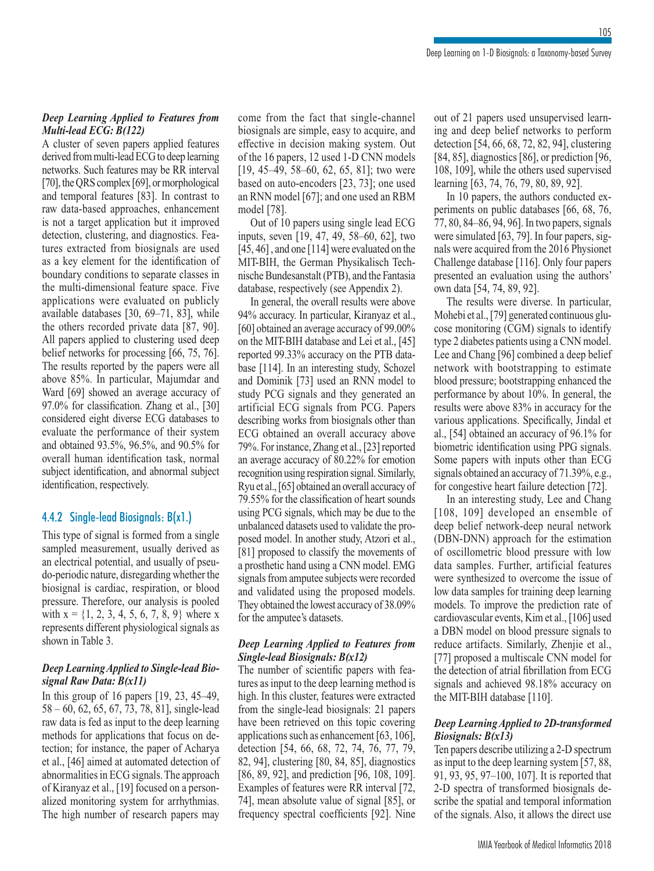#### *Deep Learning Applied to Features from Multi-lead ECG: B(122)*

A cluster of seven papers applied features derived from multi-lead ECG to deep learning networks. Such features may be RR interval [70], the QRS complex [69], or morphological and temporal features [83]. In contrast to raw data-based approaches, enhancement is not a target application but it improved detection, clustering, and diagnostics. Features extracted from biosignals are used as a key element for the identification of boundary conditions to separate classes in the multi-dimensional feature space. Five applications were evaluated on publicly available databases [30, 69–71, 83], while the others recorded private data [87, 90]. All papers applied to clustering used deep belief networks for processing [66, 75, 76]. The results reported by the papers were all above 85%. In particular, Majumdar and Ward [69] showed an average accuracy of 97.0% for classification. Zhang et al., [30] considered eight diverse ECG databases to evaluate the performance of their system and obtained 93.5%, 96.5%, and 90.5% for overall human identification task, normal subject identification, and abnormal subject identification, respectively.

#### 4.4.2 Single-lead Biosignals: B(x1.)

This type of signal is formed from a single sampled measurement, usually derived as an electrical potential, and usually of pseudo-periodic nature, disregarding whether the biosignal is cardiac, respiration, or blood pressure. Therefore, our analysis is pooled with  $x = \{1, 2, 3, 4, 5, 6, 7, 8, 9\}$  where x represents different physiological signals as shown in Table 3.

#### *Deep Learning Applied to Single-lead Biosignal Raw Data: B(x11)*

In this group of 16 papers [19, 23, 45–49, 58 – 60, 62, 65, 67, 73, 78, 81], single-lead raw data is fed as input to the deep learning methods for applications that focus on detection; for instance, the paper of Acharya et al., [46] aimed at automated detection of abnormalities in ECG signals. The approach of Kiranyaz et al., [19] focused on a personalized monitoring system for arrhythmias. The high number of research papers may

come from the fact that single-channel biosignals are simple, easy to acquire, and effective in decision making system. Out of the 16 papers, 12 used 1-D CNN models [19, 45–49, 58–60, 62, 65, 81]; two were based on auto-encoders [23, 73]; one used an RNN model [67]; and one used an RBM model [78].

Out of 10 papers using single lead ECG inputs, seven [19, 47, 49, 58–60, 62], two [45, 46] , and one [114] were evaluated on the MIT-BIH, the German Physikalisch Technische Bundesanstalt (PTB), and the Fantasia database, respectively (see Appendix 2).

In general, the overall results were above 94% accuracy. In particular, Kiranyaz et al., [60] obtained an average accuracy of 99.00% on the MIT-BIH database and Lei et al., [45] reported 99.33% accuracy on the PTB database [114]. In an interesting study, Schozel and Dominik [73] used an RNN model to study PCG signals and they generated an artificial ECG signals from PCG. Papers describing works from biosignals other than ECG obtained an overall accuracy above 79%. For instance, Zhang et al., [23] reported an average accuracy of 80.22% for emotion recognition using respiration signal. Similarly, Ryu et al., [65] obtained an overall accuracy of 79.55% for the classification of heart sounds using PCG signals, which may be due to the unbalanced datasets used to validate the proposed model. In another study, Atzori et al., [81] proposed to classify the movements of a prosthetic hand using a CNN model. EMG signals from amputee subjects were recorded and validated using the proposed models. They obtained the lowest accuracy of 38.09% for the amputee's datasets.

#### *Deep Learning Applied to Features from Single-lead Biosignals: B(x12)*

The number of scientific papers with features as input to the deep learning method is high. In this cluster, features were extracted from the single-lead biosignals: 21 papers have been retrieved on this topic covering applications such as enhancement [63, 106], detection [54, 66, 68, 72, 74, 76, 77, 79, 82, 94], clustering [80, 84, 85], diagnostics [86, 89, 92], and prediction [96, 108, 109]. Examples of features were RR interval [72, 74], mean absolute value of signal [85], or frequency spectral coefficients [92]. Nine out of 21 papers used unsupervised learning and deep belief networks to perform detection [54, 66, 68, 72, 82, 94], clustering [84, 85], diagnostics [86], or prediction [96, 108, 109], while the others used supervised learning [63, 74, 76, 79, 80, 89, 92].

In 10 papers, the authors conducted experiments on public databases [66, 68, 76, 77, 80, 84–86, 94, 96]. In two papers, signals were simulated [63, 79]. In four papers, signals were acquired from the 2016 Physionet Challenge database [116]. Only four papers presented an evaluation using the authors' own data [54, 74, 89, 92].

The results were diverse. In particular, Mohebi et al., [79] generated continuous glucose monitoring (CGM) signals to identify type 2 diabetes patients using a CNN model. Lee and Chang [96] combined a deep belief network with bootstrapping to estimate blood pressure; bootstrapping enhanced the performance by about 10%. In general, the results were above 83% in accuracy for the various applications. Specifically, Jindal et al., [54] obtained an accuracy of 96.1% for biometric identification using PPG signals. Some papers with inputs other than ECG signals obtained an accuracy of 71.39%, e.g., for congestive heart failure detection [72].

In an interesting study, Lee and Chang [108, 109] developed an ensemble of deep belief network-deep neural network (DBN-DNN) approach for the estimation of oscillometric blood pressure with low data samples. Further, artificial features were synthesized to overcome the issue of low data samples for training deep learning models. To improve the prediction rate of cardiovascular events, Kim et al., [106] used a DBN model on blood pressure signals to reduce artifacts. Similarly, Zhenjie et al., [77] proposed a multiscale CNN model for the detection of atrial fibrillation from ECG signals and achieved 98.18% accuracy on the MIT-BIH database [110].

#### *Deep Learning Applied to 2D-transformed Biosignals: B(x13)*

Ten papers describe utilizing a 2-D spectrum as input to the deep learning system [57, 88, 91, 93, 95, 97–100, 107]. It is reported that 2-D spectra of transformed biosignals describe the spatial and temporal information of the signals. Also, it allows the direct use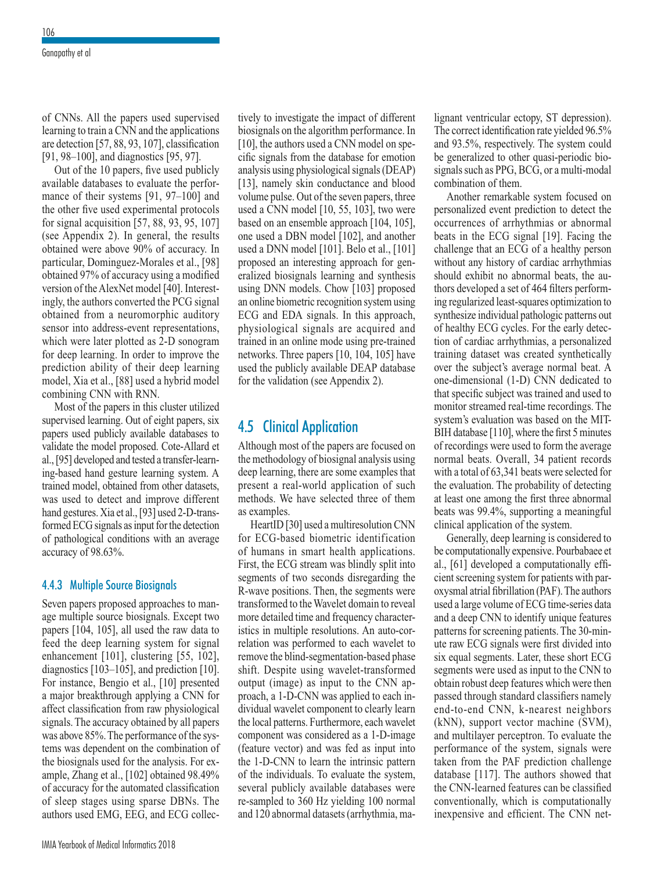of CNNs. All the papers used supervised learning to train a CNN and the applications are detection [57, 88, 93, 107], classification [91, 98–100], and diagnostics [95, 97].

Out of the 10 papers, five used publicly available databases to evaluate the performance of their systems [91, 97–100] and the other five used experimental protocols for signal acquisition [57, 88, 93, 95, 107] (see Appendix 2). In general, the results obtained were above 90% of accuracy. In particular, Dominguez-Morales et al., [98] obtained 97% of accuracy using a modified version of the AlexNet model [40]. Interestingly, the authors converted the PCG signal obtained from a neuromorphic auditory sensor into address-event representations, which were later plotted as 2-D sonogram for deep learning. In order to improve the prediction ability of their deep learning model, Xia et al., [88] used a hybrid model combining CNN with RNN.

Most of the papers in this cluster utilized supervised learning. Out of eight papers, six papers used publicly available databases to validate the model proposed. Cote-Allard et al., [95] developed and tested a transfer-learning-based hand gesture learning system. A trained model, obtained from other datasets, was used to detect and improve different hand gestures. Xia et al., [93] used 2-D-transformed ECG signals as input for the detection of pathological conditions with an average accuracy of 98.63%.

#### 4.4.3 Multiple Source Biosignals

Seven papers proposed approaches to manage multiple source biosignals. Except two papers [104, 105], all used the raw data to feed the deep learning system for signal enhancement [101], clustering [55, 102], diagnostics [103–105], and prediction [10]. For instance, Bengio et al., [10] presented a major breakthrough applying a CNN for affect classification from raw physiological signals. The accuracy obtained by all papers was above 85%. The performance of the systems was dependent on the combination of the biosignals used for the analysis. For example, Zhang et al., [102] obtained 98.49% of accuracy for the automated classification of sleep stages using sparse DBNs. The authors used EMG, EEG, and ECG collectively to investigate the impact of different biosignals on the algorithm performance. In [10], the authors used a CNN model on specific signals from the database for emotion analysis using physiological signals (DEAP) [13], namely skin conductance and blood volume pulse. Out of the seven papers, three used a CNN model [10, 55, 103], two were based on an ensemble approach [104, 105], one used a DBN model [102], and another used a DNN model [101]. Belo et al., [101] proposed an interesting approach for generalized biosignals learning and synthesis using DNN models. Chow [103] proposed an online biometric recognition system using ECG and EDA signals. In this approach, physiological signals are acquired and trained in an online mode using pre-trained networks. Three papers [10, 104, 105] have used the publicly available DEAP database for the validation (see Appendix 2).

## 4.5 Clinical Application

Although most of the papers are focused on the methodology of biosignal analysis using deep learning, there are some examples that present a real-world application of such methods. We have selected three of them as examples.

HeartID [30] used a multiresolution CNN for ECG-based biometric identification of humans in smart health applications. First, the ECG stream was blindly split into segments of two seconds disregarding the R-wave positions. Then, the segments were transformed to the Wavelet domain to reveal more detailed time and frequency characteristics in multiple resolutions. An auto-correlation was performed to each wavelet to remove the blind-segmentation-based phase shift. Despite using wavelet-transformed output (image) as input to the CNN approach, a 1-D-CNN was applied to each individual wavelet component to clearly learn the local patterns. Furthermore, each wavelet component was considered as a 1-D-image (feature vector) and was fed as input into the 1-D-CNN to learn the intrinsic pattern of the individuals. To evaluate the system, several publicly available databases were re-sampled to 360 Hz yielding 100 normal and 120 abnormal datasets (arrhythmia, malignant ventricular ectopy, ST depression). The correct identification rate yielded 96.5% and 93.5%, respectively. The system could be generalized to other quasi-periodic biosignals such as PPG, BCG, or a multi-modal combination of them.

Another remarkable system focused on personalized event prediction to detect the occurrences of arrhythmias or abnormal beats in the ECG signal [19]. Facing the challenge that an ECG of a healthy person without any history of cardiac arrhythmias should exhibit no abnormal beats, the authors developed a set of 464 filters performing regularized least-squares optimization to synthesize individual pathologic patterns out of healthy ECG cycles. For the early detection of cardiac arrhythmias, a personalized training dataset was created synthetically over the subject's average normal beat. A one-dimensional (1-D) CNN dedicated to that specific subject was trained and used to monitor streamed real-time recordings. The system's evaluation was based on the MIT-BIH database [110], where the first 5 minutes of recordings were used to form the average normal beats. Overall, 34 patient records with a total of 63,341 beats were selected for the evaluation. The probability of detecting at least one among the first three abnormal beats was 99.4%, supporting a meaningful clinical application of the system.

Generally, deep learning is considered to be computationally expensive. Pourbabaee et al., [61] developed a computationally efficient screening system for patients with paroxysmal atrial fibrillation (PAF). The authors used a large volume of ECG time-series data and a deep CNN to identify unique features patterns for screening patients. The 30-minute raw ECG signals were first divided into six equal segments. Later, these short ECG segments were used as input to the CNN to obtain robust deep features which were then passed through standard classifiers namely end-to-end CNN, k-nearest neighbors (kNN), support vector machine (SVM), and multilayer perceptron. To evaluate the performance of the system, signals were taken from the PAF prediction challenge database [117]. The authors showed that the CNN-learned features can be classified conventionally, which is computationally inexpensive and efficient. The CNN net-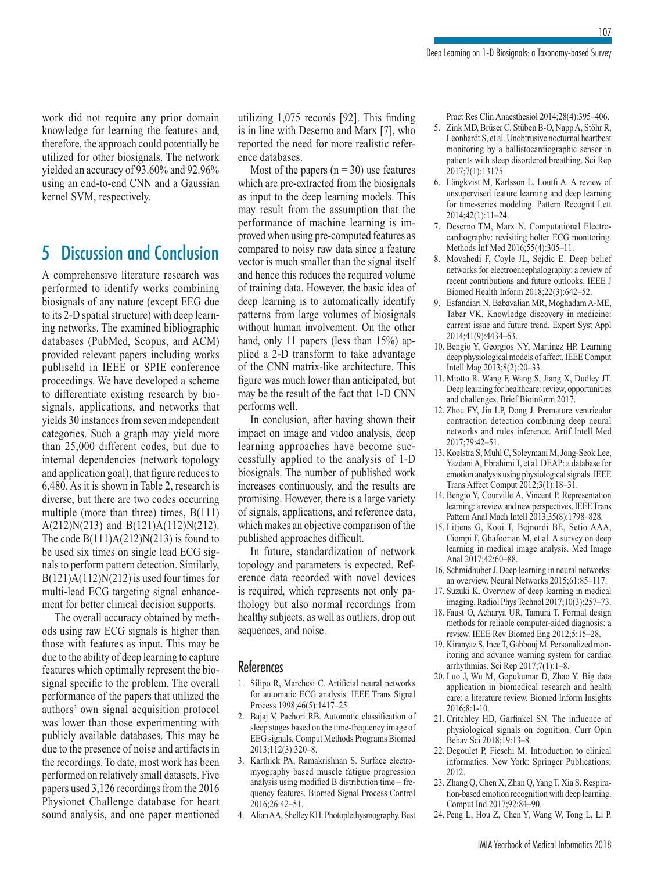work did not require any prior domain knowledge for learning the features and, therefore, the approach could potentially be utilized for other biosignals. The network yielded an accuracy of 93.60% and 92.96% using an end-to-end CNN and a Gaussian kernel SVM, respectively.

## 5 Discussion and Conclusion

A comprehensive literature research was performed to identify works combining biosignals of any nature (except EEG due to its 2-D spatial structure) with deep learning networks. The examined bibliographic databases (PubMed, Scopus, and ACM) provided relevant papers including works publisehd in IEEE or SPIE conference proceedings. We have developed a scheme to differentiate existing research by biosignals, applications, and networks that yields 30 instances from seven independent categories. Such a graph may yield more than 25,000 different codes, but due to internal dependencies (network topology and application goal), that figure reduces to 6,480. As it is shown in Table 2, research is diverse, but there are two codes occurring multiple (more than three) times, B(111) A(212)N(213) and B(121)A(112)N(212). The code  $B(111)A(212)N(213)$  is found to be used six times on single lead ECG signals to perform pattern detection. Similarly,  $B(121)A(112)N(212)$  is used four times for multi-lead ECG targeting signal enhancement for better clinical decision supports.

The overall accuracy obtained by methods using raw ECG signals is higher than those with features as input. This may be due to the ability of deep learning to capture features which optimally represent the biosignal specific to the problem. The overall performance of the papers that utilized the authors' own signal acquisition protocol was lower than those experimenting with publicly available databases. This may be due to the presence of noise and artifacts in the recordings. To date, most work has been performed on relatively small datasets. Five papers used 3,126 recordings from the 2016 Physionet Challenge database for heart sound analysis, and one paper mentioned utilizing 1,075 records [92]. This finding is in line with Deserno and Marx [7], who reported the need for more realistic reference databases.

Most of the papers  $(n = 30)$  use features which are pre-extracted from the biosignals as input to the deep learning models. This may result from the assumption that the performance of machine learning is improved when using pre-computed features as compared to noisy raw data since a feature vector is much smaller than the signal itself and hence this reduces the required volume of training data. However, the basic idea of deep learning is to automatically identify patterns from large volumes of biosignals without human involvement. On the other hand, only 11 papers (less than 15%) applied a 2-D transform to take advantage of the CNN matrix-like architecture. This figure was much lower than anticipated, but may be the result of the fact that 1-D CNN performs well.

In conclusion, after having shown their impact on image and video analysis, deep learning approaches have become successfully applied to the analysis of 1-D biosignals. The number of published work increases continuously, and the results are promising. However, there is a large variety of signals, applications, and reference data, which makes an objective comparison of the published approaches difficult.

In future, standardization of network topology and parameters is expected. Reference data recorded with novel devices is required, which represents not only pathology but also normal recordings from healthy subjects, as well as outliers, drop out sequences, and noise.

#### **References**

- 1. Silipo R, Marchesi C. Artificial neural networks for automatic ECG analysis. IEEE Trans Signal Process 1998;46(5):1417–25.
- 2. Bajaj V, Pachori RB. Automatic classification of sleep stages based on the time-frequency image of EEG signals. Comput Methods Programs Biomed 2013;112(3):320–8.
- 3. Karthick PA, Ramakrishnan S. Surface electromyography based muscle fatigue progression analysis using modified B distribution time – frequency features. Biomed Signal Process Control 2016;26:42–51.
- 4. Alian AA, Shelley KH. Photoplethysmography. Best

Pract Res Clin Anaesthesiol 2014;28(4):395–406.

- 5. Zink MD, Brüser C, Stüben B-O, Napp A, Stöhr R, Leonhardt S, et al. Unobtrusive nocturnal heartbeat monitoring by a ballistocardiographic sensor in patients with sleep disordered breathing. Sci Rep 2017;7(1):13175.
- 6. Längkvist M, Karlsson L, Loutfi A. A review of unsupervised feature learning and deep learning for time-series modeling. Pattern Recognit Lett 2014;42(1):11–24.
- 7. Deserno TM, Marx N. Computational Electrocardiography: revisiting holter ECG monitoring. Methods Inf Med 2016;55(4):305–11.
- 8. Movahedi F, Coyle JL, Sejdic E. Deep belief networks for electroencephalography: a review of recent contributions and future outlooks. IEEE J Biomed Health Inform 2018;22(3):642–52.
- 9. Esfandiari N, Babavalian MR, Moghadam A-ME, Tabar VK. Knowledge discovery in medicine: current issue and future trend. Expert Syst Appl 2014;41(9):4434–63.
- 10. Bengio Y, Georgios NY, Martinez HP. Learning deep physiological models of affect. IEEE Comput Intell Mag 2013;8(2):20–33.
- 11. Miotto R, Wang F, Wang S, Jiang X, Dudley JT. Deep learning for healthcare: review, opportunities and challenges. Brief Bioinform 2017.
- 12. Zhou FY, Jin LP, Dong J. Premature ventricular contraction detection combining deep neural networks and rules inference. Artif Intell Med 2017;79:42–51.
- 13. Koelstra S, Muhl C, Soleymani M, Jong-Seok Lee, Yazdani A, Ebrahimi T, et al. DEAP: a database for emotion analysis using physiological signals. IEEE Trans Affect Comput 2012;3(1):18–31.
- 14. Bengio Y, Courville A, Vincent P. Representation learning: a review and new perspectives. IEEE Trans Pattern Anal Mach Intell 2013;35(8):1798–828.
- 15. Litjens G, Kooi T, Bejnordi BE, Setio AAA, Ciompi F, Ghafoorian M, et al. A survey on deep learning in medical image analysis. Med Image Anal 2017;42:60–88.
- 16. Schmidhuber J. Deep learning in neural networks: an overview. Neural Networks 2015;61:85–117.
- 17. Suzuki K. Overview of deep learning in medical imaging. Radiol Phys Technol 2017;10(3):257–73.
- 18. Faust O, Acharya UR, Tamura T. Formal design methods for reliable computer-aided diagnosis: a review. IEEE Rev Biomed Eng 2012;5:15–28.
- 19. Kiranyaz S, Ince T, Gabbouj M. Personalized monitoring and advance warning system for cardiac arrhythmias. Sci Rep 2017;7(1):1–8.
- 20. Luo J, Wu M, Gopukumar D, Zhao Y. Big data application in biomedical research and health care: a literature review. Biomed Inform Insights 2016;8:1-10.
- 21. Critchley HD, Garfinkel SN. The influence of physiological signals on cognition. Curr Opin Behav Sci 2018;19:13–8.
- 22. Degoulet P, Fieschi M. Introduction to clinical informatics. New York: Springer Publications; 2012.
- 23. Zhang Q, Chen X, Zhan Q, Yang T, Xia S. Respiration-based emotion recognition with deep learning. Comput Ind 2017;92:84–90.
- 24. Peng L, Hou Z, Chen Y, Wang W, Tong L, Li P.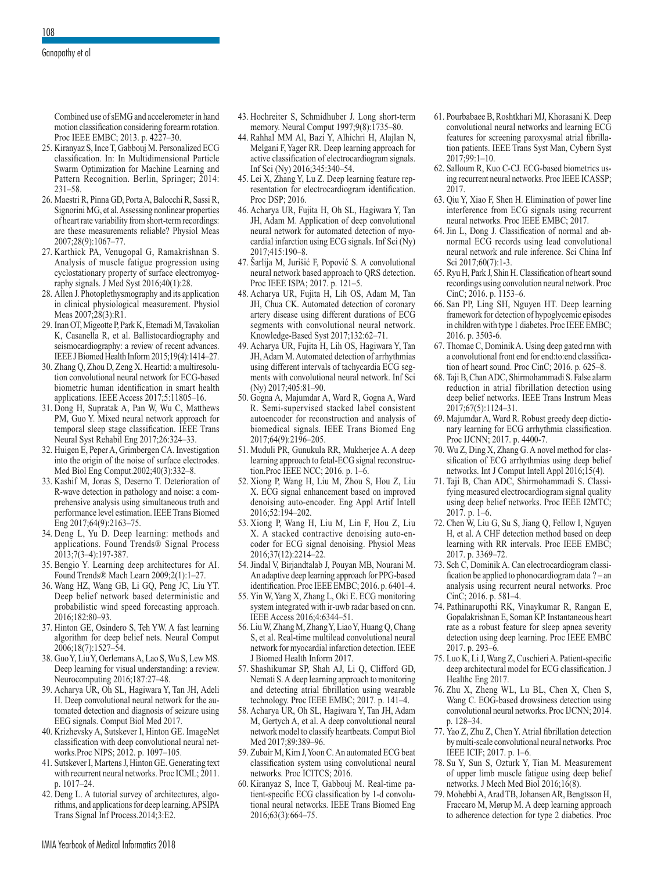Combined use of sEMG and accelerometer in hand motion classification considering forearm rotation. Proc IEEE EMBC; 2013. p. 4227–30.

- 25. Kiranyaz S, Ince T, Gabbouj M. Personalized ECG classification. In: In Multidimensional Particle Swarm Optimization for Machine Learning and Pattern Recognition. Berlin, Springer; 2014: 231–58.
- 26. Maestri R, Pinna GD, Porta A, Balocchi R, Sassi R, Signorini MG, et al. Assessing nonlinear properties of heart rate variability from short-term recordings: are these measurements reliable? Physiol Meas 2007;28(9):1067–77.
- 27. Karthick PA, Venugopal G, Ramakrishnan S. Analysis of muscle fatigue progression using cyclostationary property of surface electromyography signals. J Med Syst 2016;40(1):28.
- 28. Allen J. Photoplethysmography and its application in clinical physiological measurement. Physiol Meas 2007;28(3):R1.
- 29. Inan OT, Migeotte P, Park K, Etemadi M, Tavakolian K, Casanella R, et al. Ballistocardiography and seismocardiography: a review of recent advances. IEEE J Biomed Health Inform 2015;19(4):1414–27.
- 30. Zhang Q, Zhou D, Zeng X. Heartid: a multiresolution convolutional neural network for ECG-based biometric human identification in smart health applications. IEEE Access 2017;5:11805–16.
- 31. Dong H, Supratak A, Pan W, Wu C, Matthews PM, Guo Y. Mixed neural network approach for temporal sleep stage classification. IEEE Trans Neural Syst Rehabil Eng 2017;26:324–33.
- 32. Huigen E, Peper A, Grimbergen CA. Investigation into the origin of the noise of surface electrodes. Med Biol Eng Comput.2002;40(3):332–8.
- 33. Kashif M, Jonas S, Deserno T. Deterioration of R-wave detection in pathology and noise: a comprehensive analysis using simultaneous truth and performance level estimation. IEEE Trans Biomed Eng 2017;64(9):2163–75.
- 34. Deng L, Yu D. Deep learning: methods and applications. Found Trends® Signal Process 2013;7(3–4):197-387.
- 35. Bengio Y. Learning deep architectures for AI. Found Trends® Mach Learn 2009;2(1):1–27.
- 36. Wang HZ, Wang GB, Li GQ, Peng JC, Liu YT. Deep belief network based deterministic and probabilistic wind speed forecasting approach. 2016;182:80–93.
- 37. Hinton GE, Osindero S, Teh YW. A fast learning algorithm for deep belief nets. Neural Comput 2006;18(7):1527–54.
- 38. Guo Y, Liu Y, Oerlemans A, Lao S, Wu S, Lew MS. Deep learning for visual understanding: a review. Neurocomputing 2016;187:27–48.
- 39. Acharya UR, Oh SL, Hagiwara Y, Tan JH, Adeli H. Deep convolutional neural network for the automated detection and diagnosis of seizure using EEG signals. Comput Biol Med 2017.
- 40. Krizhevsky A, Sutskever I, Hinton GE. ImageNet classification with deep convolutional neural networks.Proc NIPS; 2012. p. 1097–105.
- 41. Sutskever I, Martens J, Hinton GE. Generating text with recurrent neural networks. Proc ICML; 2011. p. 1017–24.
- 42. Deng L. A tutorial survey of architectures, algorithms, and applications for deep learning. APSIPA Trans Signal Inf Process.2014;3:E2.
- 43. Hochreiter S, Schmidhuber J. Long short-term memory. Neural Comput 1997;9(8):1735–80.
- 44. Rahhal MM Al, Bazi Y, Alhichri H, Alajlan N, Melgani F, Yager RR. Deep learning approach for active classification of electrocardiogram signals. Inf Sci (Ny) 2016;345:340–54.
- 45. Lei X, Zhang Y, Lu Z. Deep learning feature representation for electrocardiogram identification. Proc DSP; 2016.
- 46. Acharya UR, Fujita H, Oh SL, Hagiwara Y, Tan JH, Adam M. Application of deep convolutional neural network for automated detection of myocardial infarction using ECG signals. Inf Sci (Ny) 2017;415:190–8.
- 47. Šarlija M, Jurišić F, Popović S. A convolutional neural network based approach to QRS detection. Proc IEEE ISPA; 2017. p. 121–5.
- 48. Acharya UR, Fujita H, Lih OS, Adam M, Tan JH, Chua CK. Automated detection of coronary artery disease using different durations of ECG segments with convolutional neural network. Knowledge-Based Syst 2017;132:62–71.
- 49. Acharya UR, Fujita H, Lih OS, Hagiwara Y, Tan JH, Adam M. Automated detection of arrhythmias using different intervals of tachycardia ECG segments with convolutional neural network. Inf Sci (Ny) 2017;405:81–90.
- 50. Gogna A, Majumdar A, Ward R, Gogna A, Ward R. Semi-supervised stacked label consistent autoencoder for reconstruction and analysis of biomedical signals. IEEE Trans Biomed Eng 2017;64(9):2196–205.
- 51. Muduli PR, Gunukula RR, Mukherjee A. A deep learning approach to fetal-ECG signal reconstruction.Proc IEEE NCC; 2016. p. 1–6.
- 52. Xiong P, Wang H, Liu M, Zhou S, Hou Z, Liu X. ECG signal enhancement based on improved denoising auto-encoder. Eng Appl Artif Intell 2016;52:194–202.
- 53. Xiong P, Wang H, Liu M, Lin F, Hou Z, Liu X. A stacked contractive denoising auto-encoder for ECG signal denoising. Physiol Meas 2016;37(12):2214–22.
- 54. Jindal V, Birjandtalab J, Pouyan MB, Nourani M. An adaptive deep learning approach for PPG-based identification. Proc IEEE EMBC; 2016. p. 6401–4.
- 55. Yin W, Yang X, Zhang L, Oki E. ECG monitoring system integrated with ir-uwb radar based on cnn. IEEE Access 2016;4:6344–51.
- 56. Liu W, Zhang M, Zhang Y, Liao Y, Huang Q, Chang S, et al. Real-time multilead convolutional neural network for myocardial infarction detection. IEEE J Biomed Health Inform 2017.
- 57. Shashikumar SP, Shah AJ, Li Q, Clifford GD, Nemati S. A deep learning approach to monitoring and detecting atrial fibrillation using wearable technology. Proc IEEE EMBC; 2017. p. 141–4.
- 58. Acharya UR, Oh SL, Hagiwara Y, Tan JH, Adam M, Gertych A, et al. A deep convolutional neural network model to classify heartbeats. Comput Biol Med 2017;89:389–96.
- 59. Zubair M, Kim J, Yoon C. An automated ECG beat classification system using convolutional neural networks. Proc ICITCS; 2016.
- 60. Kiranyaz S, Ince T, Gabbouj M. Real-time patient-specific ECG classification by 1-d convolutional neural networks. IEEE Trans Biomed Eng 2016;63(3):664–75.
- 61. Pourbabaee B, Roshtkhari MJ, Khorasani K. Deep convolutional neural networks and learning ECG features for screening paroxysmal atrial fibrillation patients. IEEE Trans Syst Man, Cybern Syst 2017;99:1–10.
- 62. Salloum R, Kuo C-CJ. ECG-based biometrics using recurrent neural networks. Proc IEEE ICASSP; 2017.
- 63. Qiu Y, Xiao F, Shen H. Elimination of power line interference from ECG signals using recurrent neural networks. Proc IEEE EMBC; 2017.
- 64. Jin L, Dong J. Classification of normal and abnormal ECG records using lead convolutional neural network and rule inference. Sci China Inf Sci 2017;60(7):1-3.
- 65. Ryu H, Park J, Shin H. Classification of heart sound recordings using convolution neural network. Proc CinC; 2016. p. 1153–6.
- 66. San PP, Ling SH, Nguyen HT. Deep learning framework for detection of hypoglycemic episodes in children with type 1 diabetes. Proc IEEE EMBC; 2016. p. 3503-6.
- 67. Thomae C, Dominik A. Using deep gated rnn with a convolutional front end for end:to:end classification of heart sound. Proc CinC; 2016. p. 625–8.
- 68. Taji B, Chan ADC, Shirmohammadi S. False alarm reduction in atrial fibrillation detection using deep belief networks. IEEE Trans Instrum Meas 2017;67(5):1124–31.
- 69. Majumdar A, Ward R. Robust greedy deep dictionary learning for ECG arrhythmia classification. Proc IJCNN; 2017. p. 4400-7.
- 70. Wu Z, Ding X, Zhang G. A novel method for classification of ECG arrhythmias using deep belief networks. Int J Comput Intell Appl 2016;15(4).
- 71. Taji B, Chan ADC, Shirmohammadi S. Classifying measured electrocardiogram signal quality using deep belief networks. Proc IEEE I2MTC; 2017. p. 1–6.
- 72. Chen W, Liu G, Su S, Jiang Q, Fellow I, Nguyen H, et al. A CHF detection method based on deep learning with RR intervals. Proc IEEE EMBC; 2017. p. 3369–72.
- 73. Sch C, Dominik A. Can electrocardiogram classification be applied to phonocardiogram data ? – an analysis using recurrent neural networks. Proc CinC; 2016. p. 581–4.
- 74. Pathinarupothi RK, Vinaykumar R, Rangan E, Gopalakrishnan E, Soman KP. Instantaneous heart rate as a robust feature for sleep apnea severity detection using deep learning. Proc IEEE EMBC 2017. p. 293–6.
- 75. Luo K, Li J, Wang Z, Cuschieri A. Patient-specific deep architectural model for ECG classification. J Healthc Eng 2017.
- 76. Zhu X, Zheng WL, Lu BL, Chen X, Chen S, Wang C. EOG-based drowsiness detection using convolutional neural networks. Proc IJCNN; 2014. p. 128–34.
- 77. Yao Z, Zhu Z, Chen Y. Atrial fibrillation detection by multi-scale convolutional neural networks. Proc IEEE ICIF; 2017. p. 1–6.
- 78. Su Y, Sun S, Ozturk Y, Tian M. Measurement of upper limb muscle fatigue using deep belief networks. J Mech Med Biol 2016;16(8).
- 79. Mohebbi A, Arad TB, Johansen AR, Bengtsson H, Fraccaro M, Mørup M. A deep learning approach to adherence detection for type 2 diabetics. Proc